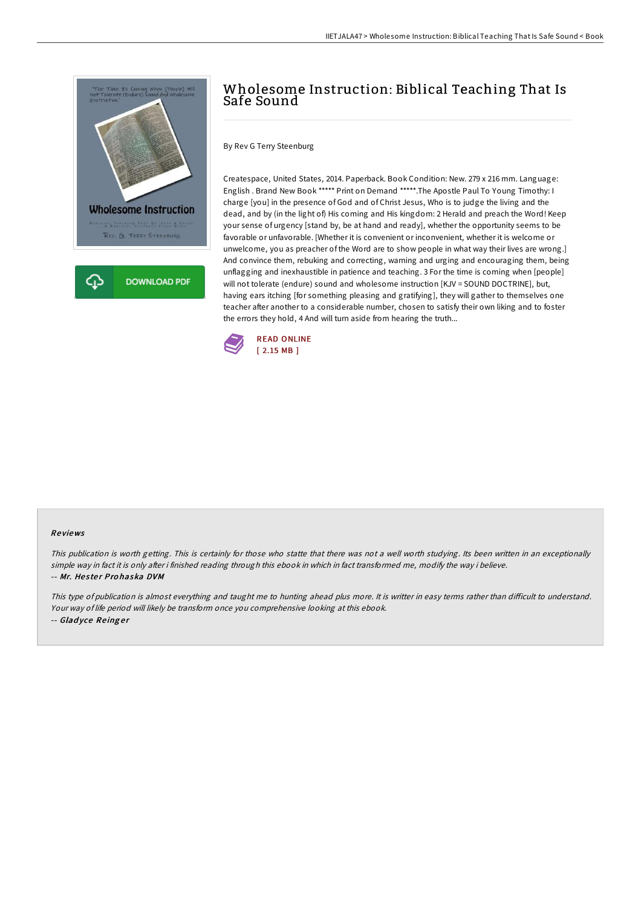

## Wholesome Instruction: Biblical Teaching That Is Safe Sound

By Rev G Terry Steenburg

Createspace, United States, 2014. Paperback. Book Condition: New. 279 x 216 mm. Language: English . Brand New Book \*\*\*\*\* Print on Demand \*\*\*\*\*.The Apostle Paul To Young Timothy: I charge [you] in the presence of God and of Christ Jesus, Who is to judge the living and the dead, and by (in the light of) His coming and His kingdom: 2 Herald and preach the Word! Keep your sense of urgency [stand by, be at hand and ready], whether the opportunity seems to be favorable or unfavorable. [Whether it is convenient or inconvenient, whether it is welcome or unwelcome, you as preacher of the Word are to show people in what way their lives are wrong.] And convince them, rebuking and correcting, warning and urging and encouraging them, being unflagging and inexhaustible in patience and teaching. 3 For the time is coming when [people] will not tolerate (endure) sound and wholesome instruction [KJV = SOUND DOCTRINE], but, having ears itching [for something pleasing and gratifying], they will gather to themselves one teacher after another to a considerable number, chosen to satisfy their own liking and to foster the errors they hold, 4 And will turn aside from hearing the truth...



## Re views

This publication is worth getting. This is certainly for those who statte that there was not <sup>a</sup> well worth studying. Its been written in an exceptionally simple way in fact it is only after i finished reading through this ebook in which in fact transformed me, modify the way i believe. -- Mr. Hester Prohaska DVM

This type of publication is almost everything and taught me to hunting ahead plus more. It is writter in easy terms rather than difficult to understand. Your way of life period will likely be transform once you comprehensive looking at this ebook. -- Gladyce Reinger